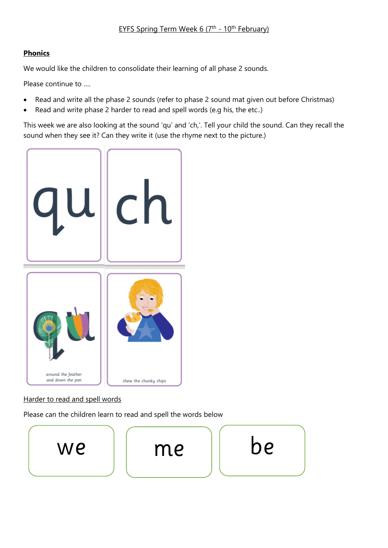#### EYFS Spring Term Week 6 (7<sup>th</sup> - 10<sup>th</sup> February)

#### **Phonics**

We would like the children to consolidate their learning of all phase 2 sounds.

Please continue to ….

- Read and write all the phase 2 sounds (refer to phase 2 sound mat given out before Christmas)
- Read and write phase 2 harder to read and spell words (e.g his, the etc..)

This week we are also looking at the sound 'qu' and 'ch,'. Tell your child the sound. Can they recall the sound when they see it? Can they write it (use the rhyme next to the picture.)



Harder to read and spell words

Please can the children learn to read and spell the words below

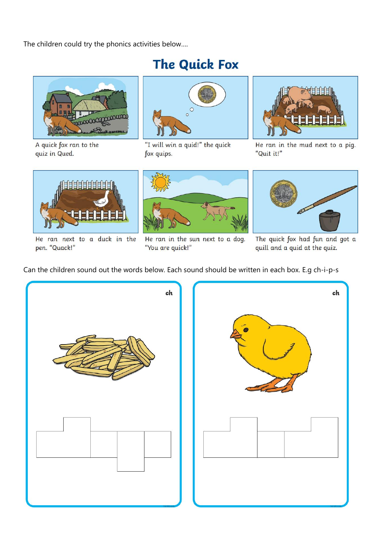The children could try the phonics activities below....



A quick fox ran to the quiz in Qued.

# **The Quick Fox**



"I will win a quid!" the quick fox quips.



He ran in the mud next to a pig. "Quit it!"



He ran next to a duck in the pen. "Quack!"



He ran in the sun next to a dog. "You are quick!"



The quick fox had fun and got a quill and a quid at the quiz.

Can the children sound out the words below. Each sound should be written in each box. E.g ch-i-p-s

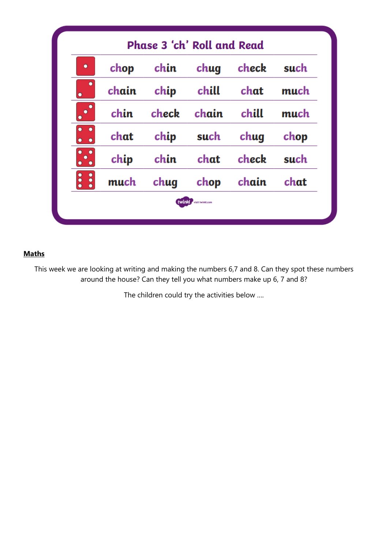| $\bullet$                           | chop  | chin  | chug  | check | such |
|-------------------------------------|-------|-------|-------|-------|------|
|                                     | chain | chip  | chill | chat  | much |
| $\bullet$                           | chin  | check | chain | chill | much |
| $\bullet\quad \bullet$<br>$\bullet$ | chat  | chip  | such  | chug  | chop |
| <b>SC</b>                           | chip  | chin  | chat  | check | such |
| $\vdots$                            | much  | chug  | chop  | chain | chat |

#### **Maths**

This week we are looking at writing and making the numbers 6,7 and 8. Can they spot these numbers around the house? Can they tell you what numbers make up 6, 7 and 8?

The children could try the activities below ….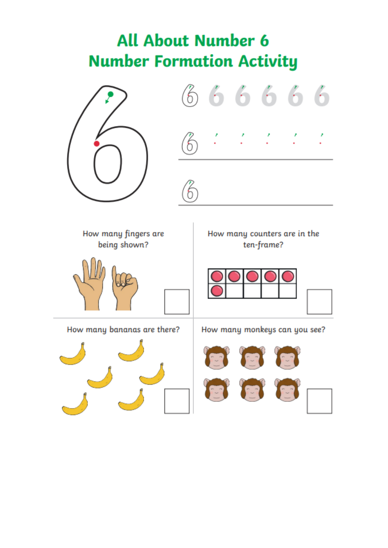# **All About Number 6 Number Formation Activity**

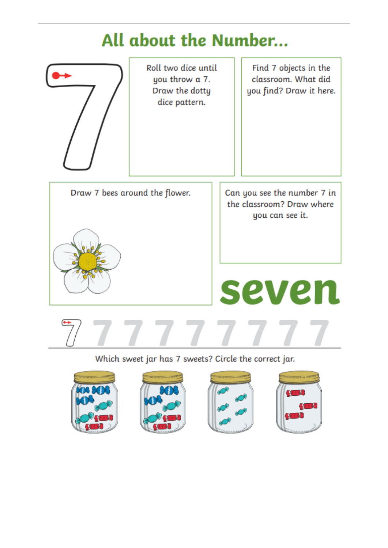# All about the Number...



Roll two dice until you throw a 7. Draw the dotty dice pattern.

Find 7 objects in the classroom. What did you find? Draw it here.

Draw 7 bees around the flower.

Can you see the number 7 in the classroom? Draw where you can see it.

# seven

Which sweet jar has 7 sweets? Circle the correct jar.







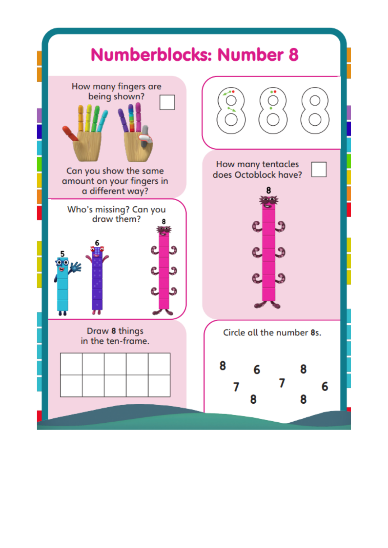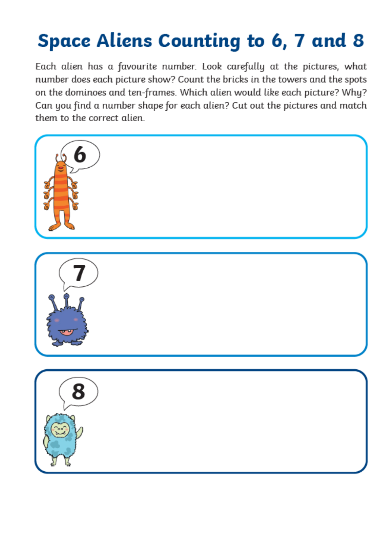# Space Aliens Counting to 6, 7 and 8

Each alien has a favourite number. Look carefully at the pictures, what number does each picture show? Count the bricks in the towers and the spots on the dominoes and ten-frames. Which alien would like each picture? Why? Can you find a number shape for each alien? Cut out the pictures and match them to the correct alien.

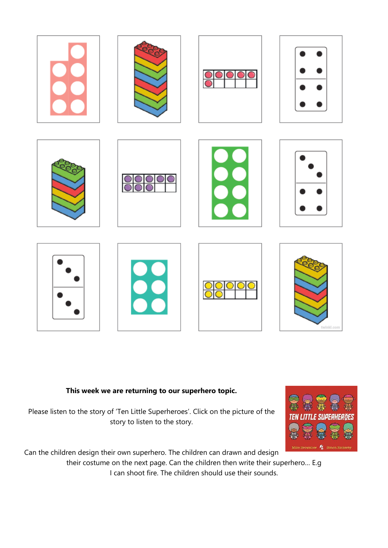

### **This week we are returning to our superhero topic.**

Please listen to the story of 'Ten Little Superheroes'. Click on the picture of the story to listen to the story.



Can the children design their own superhero. The children can drawn and design

their costume on the next page. Can the children then write their superhero… E.g I can shoot fire. The children should use their sounds.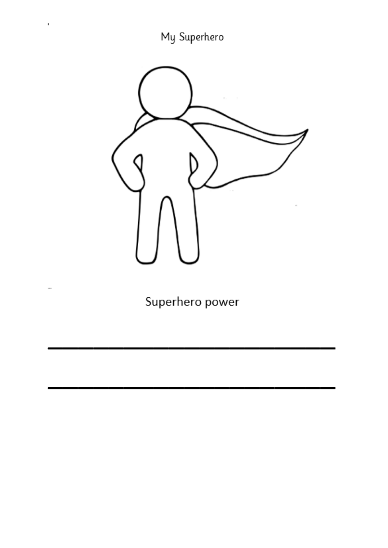My Superhero

 $\mathbf{r}^{\pm}$ 



Superhero power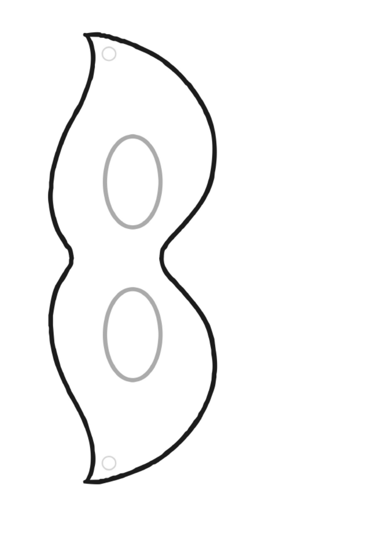